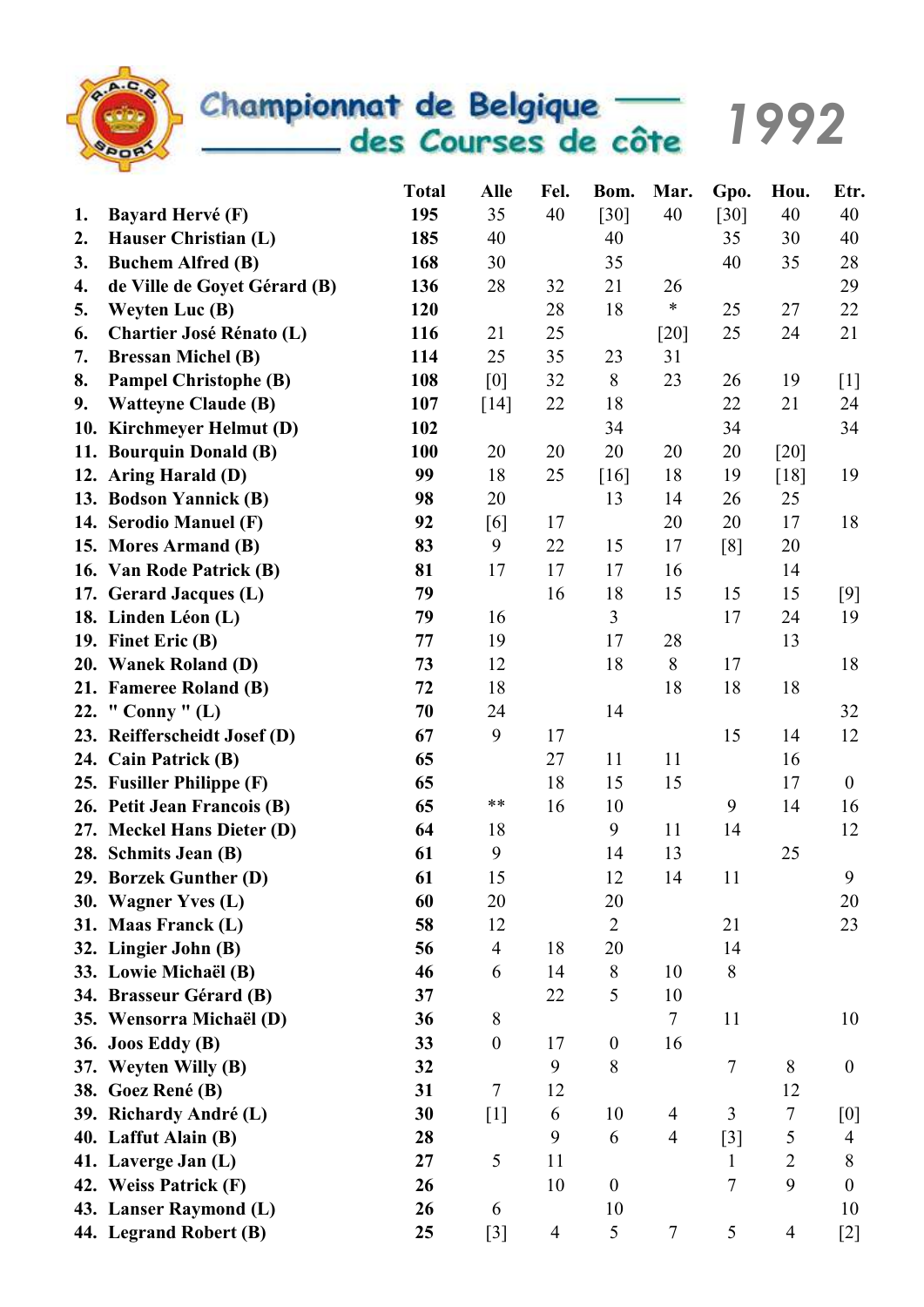

Championnat de Belgique — 1992

|     |                                 | <b>Total</b> | <b>Alle</b>      | Fel.           | Bom.                  | Mar.               | Gpo.   | Hou.                | Etr.             |
|-----|---------------------------------|--------------|------------------|----------------|-----------------------|--------------------|--------|---------------------|------------------|
| 1.  | <b>Bayard Hervé (F)</b>         | 195          | 35               | 40             | [30]                  | 40                 | [30]   | 40                  | 40               |
| 2.  | Hauser Christian (L)            | 185          | 40               |                | 40                    |                    | 35     | 30                  | 40               |
| 3.  | <b>Buchem Alfred (B)</b>        | 168          | 30               |                | 35                    |                    | 40     | 35                  | 28               |
| 4.  | de Ville de Goyet Gérard (B)    | 136          | 28               | 32             | 21                    | 26                 |        |                     | 29               |
| 5.  | <b>Weyten Luc (B)</b>           | 120          |                  | 28             | 18                    | $\ast$             | 25     | 27                  | 22               |
| 6.  | <b>Chartier José Rénato (L)</b> | 116          | 21               | 25             |                       | $\lceil 20 \rceil$ | 25     | 24                  | 21               |
| 7.  | <b>Bressan Michel (B)</b>       | 114          | 25               | 35             | 23                    | 31                 |        |                     |                  |
| 8.  | <b>Pampel Christophe (B)</b>    | 108          | [0]              | 32             | 8                     | 23                 | 26     | 19                  | $[1]$            |
| 9.  | <b>Watteyne Claude (B)</b>      | 107          | [14]             | 22             | 18                    |                    | 22     | 21                  | 24               |
| 10. | <b>Kirchmeyer Helmut (D)</b>    | 102          |                  |                | 34                    |                    | 34     |                     | 34               |
| 11. | <b>Bourquin Donald (B)</b>      | 100          | 20               | 20             | 20                    | 20                 | 20     | [20]                |                  |
|     | 12. Aring Harald (D)            | 99           | 18               | 25             | [16]                  | 18                 | 19     | [18]                | 19               |
|     | 13. Bodson Yannick (B)          | 98           | 20               |                | 13                    | 14                 | 26     | 25                  |                  |
|     | 14. Serodio Manuel (F)          | 92           | [6]              | 17             |                       | 20                 | 20     | 17                  | 18               |
|     | 15. Mores Armand (B)            | 83           | 9                | 22             | 15                    | 17                 | [8]    | 20                  |                  |
|     | 16. Van Rode Patrick (B)        | 81           | 17               | 17             | 17                    | 16                 |        | 14                  |                  |
|     | 17. Gerard Jacques (L)          | 79           |                  | 16             | 18                    | 15                 | 15     | 15                  | $[9]$            |
|     | 18. Linden Léon (L)             | 79           | 16               |                | $\mathfrak{Z}$        |                    | 17     | 24                  | 19               |
|     | 19. Finet Eric (B)              | 77           | 19               |                | 17                    | 28                 |        | 13                  |                  |
|     | 20. Wanek Roland (D)            | 73           | 12               |                | 18                    | $8\phantom{.}$     | 17     |                     | 18               |
|     | 21. Fameree Roland (B)          | 72           | 18               |                |                       | 18                 | 18     | 18                  |                  |
|     | 22. " Conny " $(L)$             | 70           | 24               |                | 14                    |                    |        |                     | 32               |
|     | 23. Reifferscheidt Josef (D)    | 67           | 9                | 17             |                       |                    | 15     | 14                  | 12               |
|     | 24. Cain Patrick (B)            | 65           |                  | 27             | 11                    | 11                 |        | 16                  |                  |
|     | 25. Fusiller Philippe (F)       | 65           |                  | 18             | 15                    | 15                 |        | 17                  | $\overline{0}$   |
|     | 26. Petit Jean Francois (B)     | 65           | **               | 16             | 10                    |                    | 9      | 14                  | 16               |
|     | 27. Meckel Hans Dieter (D)      | 64           | 18               |                | 9                     | 11                 | 14     |                     | 12               |
|     | 28. Schmits Jean (B)            | 61           | 9                |                | 14                    | 13                 |        | 25                  |                  |
|     | 29. Borzek Gunther (D)          | 61           | 15               |                | 12                    | 14                 | 11     |                     | 9                |
|     | 30. Wagner Yves (L)             | 60           | 20               |                | 20                    |                    |        |                     | 20               |
|     | 31. Maas Franck (L)             | 58           | 12               |                | $\overline{2}$        |                    | 21     |                     | 23               |
|     | 32. Lingier John (B)            | 56           | $\overline{4}$   | 18             | 20                    |                    | 14     |                     |                  |
|     | 33. Lowie Michaël (B)           | 46           | 6                | 14             | $\,8\,$               | 10                 | $8\,$  |                     |                  |
|     | 34. Brasseur Gérard (B)         | 37           |                  | 22             | 5                     | 10                 |        |                     |                  |
|     | 35. Wensorra Michaël (D)        | 36           | $8\,$            |                |                       | $\tau$             | 11     |                     | 10               |
|     | 36. Joos Eddy (B)               | 33           | $\boldsymbol{0}$ | 17             | $\boldsymbol{0}$<br>8 | 16                 |        |                     |                  |
|     | 37. Weyten Willy (B)            | 32           |                  | 9              |                       |                    | 7      | 8                   | $\boldsymbol{0}$ |
|     | 38. Goez René (B)               | 31           | 7                | 12             |                       |                    |        | 12                  |                  |
|     | 39. Richardy André (L)          | 30           | $[1]$            | 6              | 10                    | $\overline{4}$     | 3      | $\boldsymbol{7}$    | [0]              |
|     | 40. Laffut Alain (B)            | 28           |                  | 9              | 6                     | $\overline{4}$     | $[3]$  | 5                   | $\overline{4}$   |
|     | 41. Laverge Jan (L)             | 27           | 5                | 11             |                       |                    | 1<br>7 | $\overline{2}$<br>9 | 8                |
|     | 42. Weiss Patrick (F)           | 26           |                  | 10             | $\boldsymbol{0}$      |                    |        |                     | $\boldsymbol{0}$ |
|     | 43. Lanser Raymond (L)          | 26           | 6                |                | 10                    |                    |        |                     | 10               |
|     | 44. Legrand Robert (B)          | 25           | $[3]$            | $\overline{4}$ | 5                     | $\boldsymbol{7}$   | 5      | $\overline{4}$      | $[2]$            |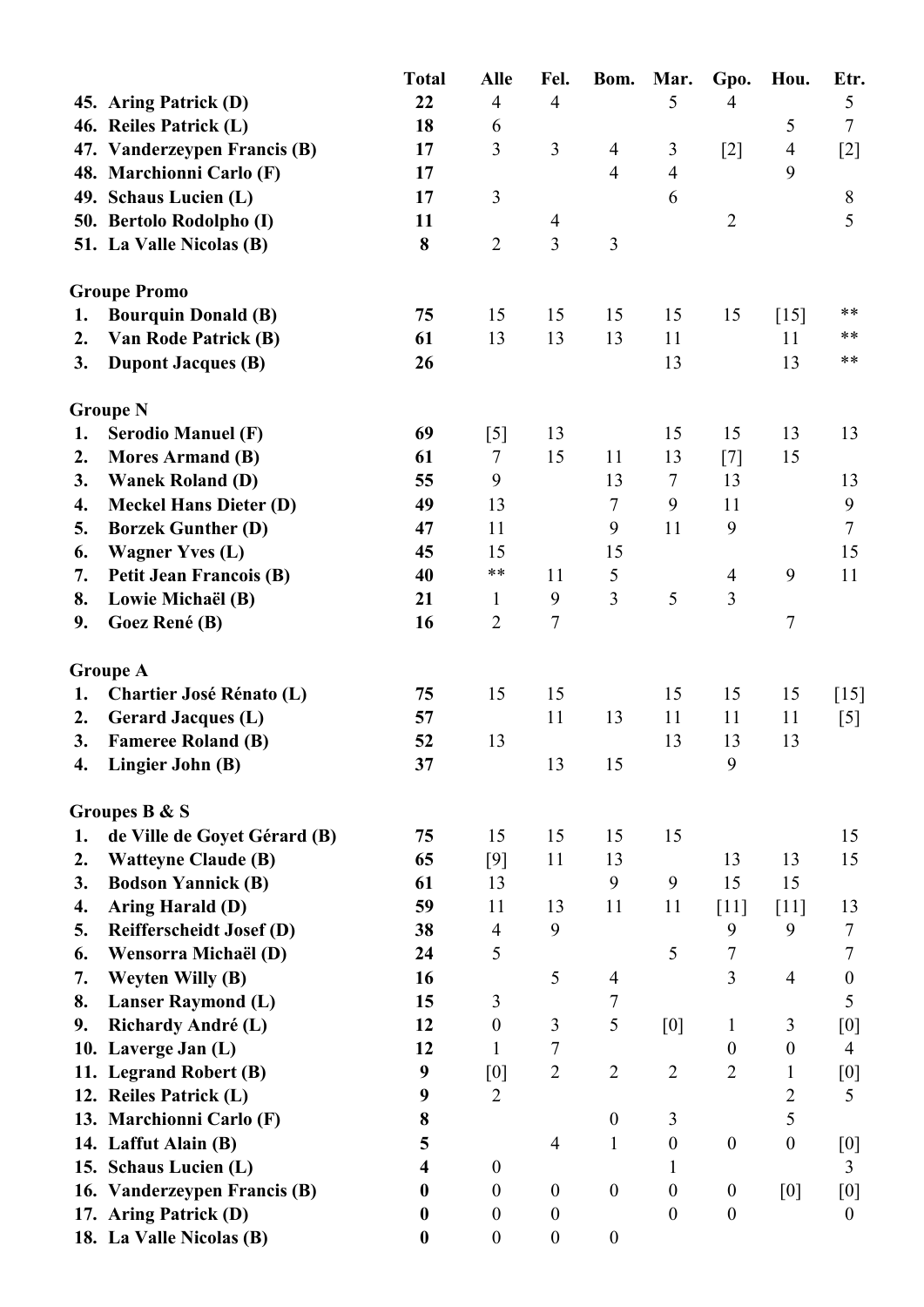|    |                                 | <b>Total</b>     | <b>Alle</b>      | Fel.             | Bom.             | Mar.             | Gpo.             | Hou.               | Etr.                              |
|----|---------------------------------|------------------|------------------|------------------|------------------|------------------|------------------|--------------------|-----------------------------------|
|    | 45. Aring Patrick (D)           | 22               | $\overline{4}$   | $\overline{4}$   |                  | 5                | 4                |                    | 5                                 |
|    | 46. Reiles Patrick (L)          | 18               | 6                |                  |                  |                  |                  | 5                  | $\overline{7}$                    |
|    | 47. Vanderzeypen Francis (B)    | 17               | 3                | $\overline{3}$   | $\overline{4}$   | $\mathfrak{Z}$   | $[2]$            | $\overline{4}$     | $[2]$                             |
|    | 48. Marchionni Carlo (F)        | 17               |                  |                  | $\overline{4}$   | $\overline{4}$   |                  | 9                  |                                   |
|    | 49. Schaus Lucien (L)           | 17               | $\overline{3}$   |                  |                  | 6                |                  |                    | $8\,$                             |
|    | 50. Bertolo Rodolpho (I)        | 11               |                  | $\overline{4}$   |                  |                  | $\overline{2}$   |                    | 5                                 |
|    | 51. La Valle Nicolas (B)        | 8                | $\overline{2}$   | $\overline{3}$   | 3                |                  |                  |                    |                                   |
|    | <b>Groupe Promo</b>             |                  |                  |                  |                  |                  |                  |                    |                                   |
| 1. | <b>Bourquin Donald (B)</b>      | 75               | 15               | 15               | 15               | 15               | 15               | $\lceil 15 \rceil$ | **                                |
| 2. | Van Rode Patrick (B)            | 61               | 13               | 13               | 13               | 11               |                  | 11                 | **                                |
| 3. | <b>Dupont Jacques (B)</b>       | 26               |                  |                  |                  | 13               |                  | 13                 | **                                |
|    | <b>Groupe N</b>                 |                  |                  |                  |                  |                  |                  |                    |                                   |
| 1. | <b>Serodio Manuel (F)</b>       | 69               | [5]              | 13               |                  | 15               | 15               | 13                 | 13                                |
| 2. | <b>Mores Armand (B)</b>         | 61               | $\tau$           | 15               | 11               | 13               | $[7]$            | 15                 |                                   |
| 3. | <b>Wanek Roland (D)</b>         | 55               | 9                |                  | 13               | $\tau$           | 13               |                    | 13                                |
| 4. | <b>Meckel Hans Dieter (D)</b>   | 49               | 13               |                  | $\tau$           | 9                | 11               |                    | 9                                 |
| 5. | <b>Borzek Gunther (D)</b>       | 47               | 11               |                  | 9                | 11               | 9                |                    | $\tau$                            |
| 6. | <b>Wagner Yves (L)</b>          | 45               | 15               |                  | 15               |                  |                  |                    | 15                                |
| 7. | <b>Petit Jean Francois (B)</b>  | 40               | **               | 11               | $\mathfrak s$    |                  | $\overline{4}$   | 9                  | 11                                |
| 8. | Lowie Michaël (B)               | 21               | $\mathbf{1}$     | 9                | $\overline{3}$   | 5                | 3                |                    |                                   |
| 9. | Goez René (B)                   | 16               | $\overline{2}$   | $\overline{7}$   |                  |                  |                  | $\tau$             |                                   |
|    | <b>Groupe A</b>                 |                  |                  |                  |                  |                  |                  |                    |                                   |
| 1. | <b>Chartier José Rénato (L)</b> | 75               | 15               | 15               |                  | 15               | 15               | 15                 | $\lceil 15 \rceil$                |
| 2. | <b>Gerard Jacques (L)</b>       | 57               |                  | 11               | 13               | 11               | 11               | 11                 | $\begin{bmatrix} 5 \end{bmatrix}$ |
| 3. | <b>Fameree Roland (B)</b>       | 52               | 13               |                  |                  | 13               | 13               | 13                 |                                   |
| 4. | Lingier John (B)                | 37               |                  | 13               | 15               |                  | 9                |                    |                                   |
|    | Groupes B & S                   |                  |                  |                  |                  |                  |                  |                    |                                   |
| 1. | de Ville de Goyet Gérard (B)    | 75               | 15               | 15               | 15               | 15               |                  |                    | 15                                |
| 2. | <b>Watteyne Claude (B)</b>      | 65               | [9]              | 11               | 13               |                  | 13               | 13                 | 15                                |
| 3. | <b>Bodson Yannick (B)</b>       | 61               | 13               |                  | 9                | 9                | 15               | 15                 |                                   |
| 4. | <b>Aring Harald (D)</b>         | 59               | 11               | 13               | 11               | 11               | $[11]$           | [11]               | 13                                |
| 5. | <b>Reifferscheidt Josef (D)</b> | 38               | $\overline{4}$   | 9                |                  |                  | 9                | 9                  | 7                                 |
| 6. | Wensorra Michaël (D)            | 24               | 5                |                  |                  | $\mathfrak{S}$   | 7                |                    | 7                                 |
| 7. | <b>Weyten Willy (B)</b>         | 16               |                  | 5                | $\overline{4}$   |                  | 3                | $\overline{4}$     | $\boldsymbol{0}$                  |
| 8. | <b>Lanser Raymond (L)</b>       | 15               | 3                |                  | $\tau$           |                  |                  |                    | 5                                 |
| 9. | Richardy André (L)              | 12               | $\boldsymbol{0}$ | $\mathfrak{Z}$   | 5                | [0]              | $\mathbf{1}$     | 3                  | [0]                               |
|    | 10. Laverge Jan (L)             | 12               | $\mathbf{1}$     | 7                |                  |                  | $\boldsymbol{0}$ | $\boldsymbol{0}$   | 4                                 |
|    | 11. Legrand Robert (B)          | 9                | [0]              | $\overline{2}$   | $\overline{2}$   | $\overline{2}$   | $\overline{2}$   | $\mathbf{1}$       | [0]                               |
|    | 12. Reiles Patrick (L)          | 9                | $\overline{2}$   |                  |                  |                  |                  | $\overline{2}$     | 5                                 |
|    | 13. Marchionni Carlo (F)        | 8                |                  |                  | $\boldsymbol{0}$ | $\mathfrak{Z}$   |                  | 5                  |                                   |
|    | 14. Laffut Alain (B)            | 5                |                  | $\overline{4}$   | 1                | $\boldsymbol{0}$ | $\boldsymbol{0}$ | $\boldsymbol{0}$   | [0]                               |
|    | 15. Schaus Lucien (L)           | 4                | $\mathbf{0}$     |                  |                  | 1                |                  |                    | 3                                 |
|    | 16. Vanderzeypen Francis (B)    | $\boldsymbol{0}$ | $\boldsymbol{0}$ | $\boldsymbol{0}$ | $\boldsymbol{0}$ | $\boldsymbol{0}$ | $\boldsymbol{0}$ | [0]                | [0]                               |
|    | 17. Aring Patrick (D)           | $\bf{0}$         | $\mathbf{0}$     | $\boldsymbol{0}$ |                  | $\boldsymbol{0}$ | $\boldsymbol{0}$ |                    | $\boldsymbol{0}$                  |
|    | 18. La Valle Nicolas (B)        | $\boldsymbol{0}$ | $\boldsymbol{0}$ | $\boldsymbol{0}$ | $\boldsymbol{0}$ |                  |                  |                    |                                   |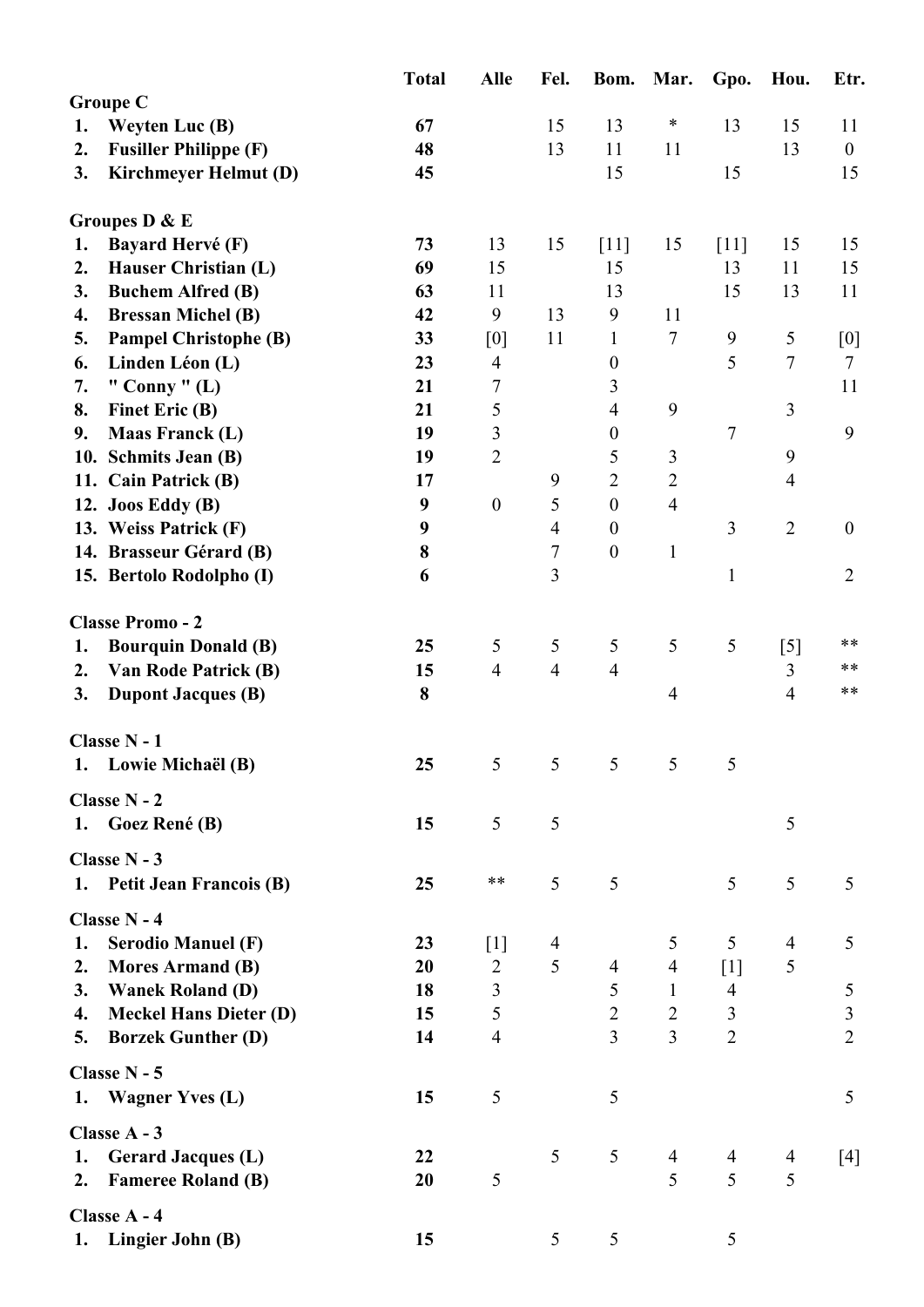|    |                               | <b>Total</b>     | <b>Alle</b>             | Fel.            | Bom.             | Mar.           | Gpo.           | Hou.           | Etr.             |
|----|-------------------------------|------------------|-------------------------|-----------------|------------------|----------------|----------------|----------------|------------------|
|    | <b>Groupe C</b>               |                  |                         |                 |                  |                |                |                |                  |
| 1. | <b>Weyten Luc (B)</b>         | 67               |                         | 15              | 13               | ∗              | 13             | 15             | 11               |
| 2. | <b>Fusiller Philippe (F)</b>  | 48               |                         | 13              | 11               | 11             |                | 13             | $\boldsymbol{0}$ |
| 3. | <b>Kirchmeyer Helmut (D)</b>  | 45               |                         |                 | 15               |                | 15             |                | 15               |
|    | Groupes D & E                 |                  |                         |                 |                  |                |                |                |                  |
| 1. | <b>Bayard Hervé (F)</b>       | 73               | 13                      | 15              | $[11]$           | 15             | $[11]$         | 15             | 15               |
| 2. | Hauser Christian (L)          | 69               | 15                      |                 | 15               |                | 13             | 11             | 15               |
| 3. | <b>Buchem Alfred (B)</b>      | 63               | 11                      |                 | 13               |                | 15             | 13             | 11               |
| 4. | <b>Bressan Michel (B)</b>     | 42               | 9                       | 13              | 9                | 11             |                |                |                  |
| 5. | <b>Pampel Christophe (B)</b>  | 33               | [0]                     | 11              | $\mathbf{1}$     | 7              | 9              | 5              | [0]              |
| 6. | Linden Léon (L)               | 23               | $\overline{4}$          |                 | $\boldsymbol{0}$ |                | 5              | $\overline{7}$ | $\tau$           |
| 7. | " Conny " $(L)$               | 21               | 7                       |                 | 3                |                |                |                | 11               |
| 8. | <b>Finet Eric (B)</b>         | 21               | $\mathfrak{S}$          |                 | $\overline{4}$   | 9              |                | 3              |                  |
| 9. | Maas Franck (L)               | 19               | $\overline{\mathbf{3}}$ |                 | $\boldsymbol{0}$ |                | 7              |                | 9                |
|    | 10. Schmits Jean (B)          | 19               | $\overline{2}$          |                 | 5                | 3              |                | 9              |                  |
|    | 11. Cain Patrick (B)          | 17               |                         | 9               | $\overline{2}$   | $\overline{2}$ |                | 4              |                  |
|    | 12. Joos Eddy $(B)$           | $\boldsymbol{9}$ | $\boldsymbol{0}$        | 5               | $\boldsymbol{0}$ | $\overline{4}$ |                |                |                  |
|    | 13. Weiss Patrick (F)         | $\boldsymbol{9}$ |                         | $\overline{4}$  | $\boldsymbol{0}$ |                | 3              | $\overline{2}$ | $\boldsymbol{0}$ |
|    | 14. Brasseur Gérard (B)       | 8                |                         | $\tau$          | $\boldsymbol{0}$ | $\mathbf{1}$   |                |                |                  |
|    | 15. Bertolo Rodolpho (I)      | 6                |                         | $\overline{3}$  |                  |                | $\mathbf{1}$   |                | $\overline{2}$   |
|    | <b>Classe Promo - 2</b>       |                  |                         |                 |                  |                |                |                |                  |
| 1. | <b>Bourquin Donald (B)</b>    | 25               | 5                       | 5               | 5                | 5              | 5              | $[5]$          | **               |
| 2. | Van Rode Patrick (B)          | 15               | $\overline{4}$          | $\overline{4}$  | $\overline{4}$   |                |                | $\overline{3}$ | **               |
| 3. | <b>Dupont Jacques (B)</b>     | 8                |                         |                 |                  | $\overline{4}$ |                | $\overline{4}$ | **               |
|    | Classe N - 1                  |                  |                         |                 |                  |                |                |                |                  |
|    | 1. Lowie Michaël (B)          | 25               | 5                       | $5\overline{)}$ | $5\overline{)}$  | 5              | 5              |                |                  |
|    | Classe N - 2                  |                  |                         |                 |                  |                |                |                |                  |
|    | 1. Goez René (B)              | 15               | 5                       | 5               |                  |                |                | 5              |                  |
|    | Classe N - 3                  |                  |                         |                 |                  |                |                |                |                  |
|    | 1. Petit Jean Francois (B)    | 25               | **                      | 5               | 5                |                | 5              | 5              | 5                |
|    | Classe N - 4                  |                  |                         |                 |                  |                |                |                |                  |
| 1. | <b>Serodio Manuel (F)</b>     | 23               | $[1]$                   | $\overline{4}$  |                  | 5              | 5              | $\overline{4}$ | 5                |
| 2. | <b>Mores Armand (B)</b>       | 20               | $\overline{2}$          | 5               | $\overline{4}$   | 4              | $[1]$          | 5              |                  |
| 3. | <b>Wanek Roland (D)</b>       | 18               | $\mathfrak{Z}$          |                 | 5                | $\mathbf{1}$   | $\overline{4}$ |                | 5                |
| 4. | <b>Meckel Hans Dieter (D)</b> | 15               | $\mathfrak s$           |                 | $\overline{2}$   | $\overline{2}$ | 3              |                | $\overline{3}$   |
| 5. | <b>Borzek Gunther (D)</b>     | 14               | $\overline{4}$          |                 | $\overline{3}$   | $\overline{3}$ | $\overline{2}$ |                | $\overline{2}$   |
|    | Classe N - 5                  |                  |                         |                 |                  |                |                |                |                  |
|    | 1. Wagner Yves (L)            | 15               | 5                       |                 | 5                |                |                |                | 5                |
|    | Classe A - 3                  |                  |                         |                 |                  |                |                |                |                  |
|    | 1. Gerard Jacques (L)         | 22               |                         | 5               | 5                | 4              | 4              | $\overline{4}$ | $[4]$            |
| 2. | <b>Fameree Roland (B)</b>     | 20               | 5                       |                 |                  | 5              | 5              | 5              |                  |
|    | Classe A - 4                  |                  |                         |                 |                  |                |                |                |                  |
|    | 1. Lingier John (B)           | 15               |                         | 5               | 5                |                | 5              |                |                  |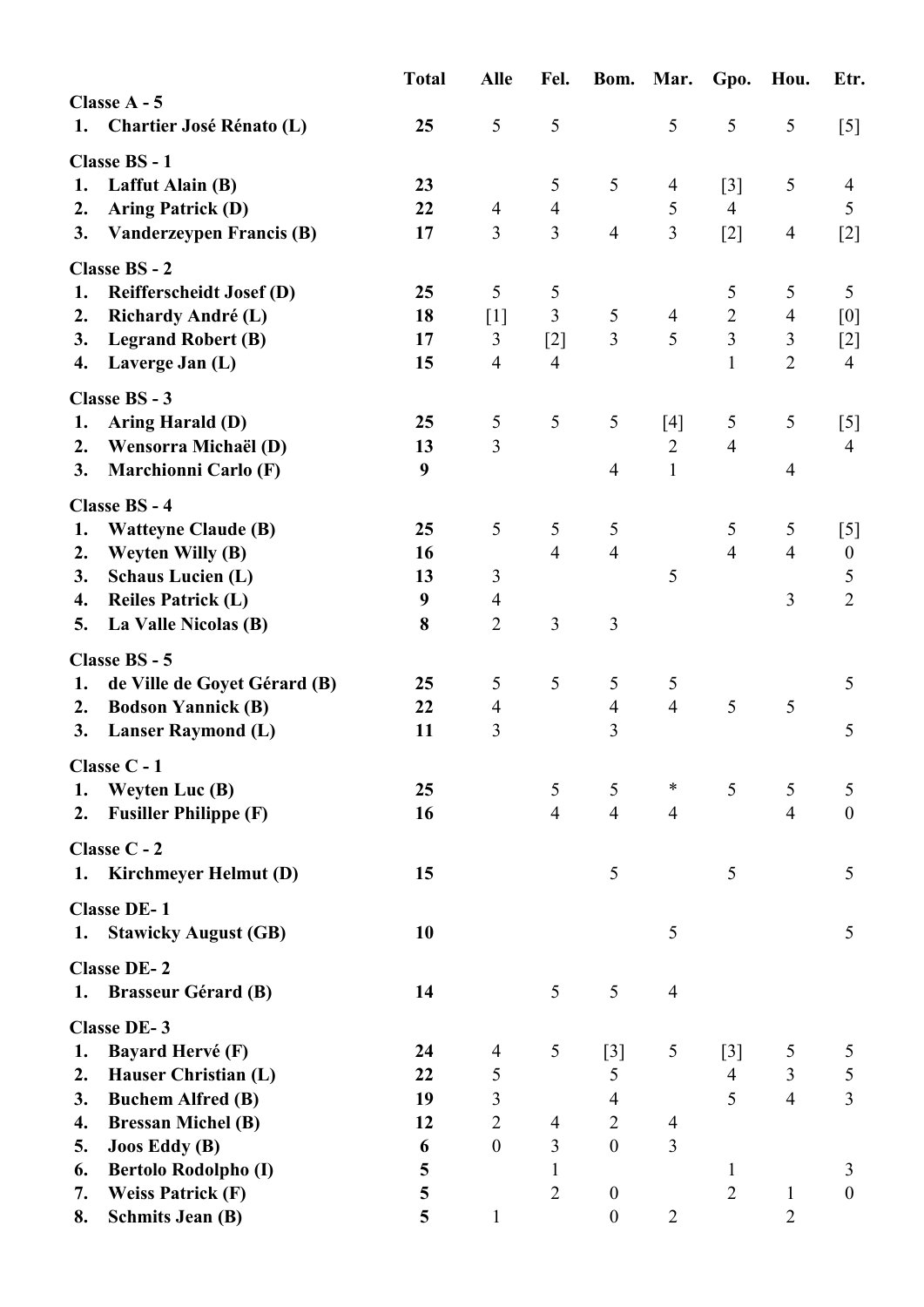|          |                                              | <b>Total</b> | <b>Alle</b>         | Fel.                    | Bom.                                 | Mar.                | Gpo.                             | Hou.                             | Etr.                    |
|----------|----------------------------------------------|--------------|---------------------|-------------------------|--------------------------------------|---------------------|----------------------------------|----------------------------------|-------------------------|
|          | Classe A - 5                                 |              |                     |                         |                                      |                     |                                  |                                  |                         |
| 1.       | <b>Chartier José Rénato (L)</b>              | 25           | 5                   | 5                       |                                      | 5                   | $\mathfrak{S}$                   | 5                                | $[5]$                   |
|          | <b>Classe BS - 1</b>                         |              |                     |                         |                                      |                     |                                  |                                  |                         |
| 1.       | Laffut Alain (B)                             | 23           |                     | 5                       | 5                                    | $\overline{4}$      | $[3]$                            | 5                                | $\overline{4}$          |
| 2.       | <b>Aring Patrick (D)</b>                     | 22           | $\overline{4}$      | $\overline{4}$          |                                      | 5                   | $\overline{4}$                   |                                  | 5                       |
| 3.       | <b>Vanderzeypen Francis (B)</b>              | 17           | 3                   | 3                       | $\overline{4}$                       | $\overline{3}$      | $[2]$                            | $\overline{4}$                   | $[2]$                   |
|          |                                              |              |                     |                         |                                      |                     |                                  |                                  |                         |
|          | <b>Classe BS - 2</b>                         |              |                     |                         |                                      |                     |                                  |                                  |                         |
| 1.       | <b>Reifferscheidt Josef (D)</b>              | 25           | 5                   | 5                       |                                      |                     | 5                                | 5                                | 5                       |
| 2.       | <b>Richardy André (L)</b>                    | 18<br>17     | $[1]$               | 3                       | 5<br>$\overline{3}$                  | $\overline{4}$<br>5 | $\overline{2}$<br>$\mathfrak{Z}$ | $\overline{4}$<br>$\mathfrak{Z}$ | [0]                     |
| 3.<br>4. | <b>Legrand Robert (B)</b>                    | 15           | 3<br>$\overline{4}$ | $[2]$<br>$\overline{4}$ |                                      |                     | $\mathbf{1}$                     | $\overline{2}$                   | $[2]$<br>$\overline{4}$ |
|          | Laverge Jan (L)                              |              |                     |                         |                                      |                     |                                  |                                  |                         |
|          | <b>Classe BS - 3</b>                         |              |                     |                         |                                      |                     |                                  |                                  |                         |
| 1.       | Aring Harald (D)                             | 25           | $\mathfrak{S}$      | 5                       | 5                                    | $[4]$               | 5                                | 5                                | [5]                     |
| 2.       | Wensorra Michaël (D)                         | 13           | 3                   |                         |                                      | $\overline{2}$      | $\overline{4}$                   |                                  | 4                       |
| 3.       | <b>Marchionni Carlo (F)</b>                  | 9            |                     |                         | $\overline{4}$                       | $\mathbf{1}$        |                                  | 4                                |                         |
|          | <b>Classe BS - 4</b>                         |              |                     |                         |                                      |                     |                                  |                                  |                         |
| 1.       | <b>Watteyne Claude (B)</b>                   | 25           | 5                   | 5                       | 5                                    |                     | 5                                | 5                                | [5]                     |
| 2.       | <b>Weyten Willy (B)</b>                      | 16           |                     | $\overline{4}$          | $\overline{4}$                       |                     | $\overline{4}$                   | $\overline{4}$                   | $\boldsymbol{0}$        |
| 3.       | <b>Schaus Lucien (L)</b>                     | 13           | 3                   |                         |                                      | 5                   |                                  |                                  | 5                       |
| 4.       | <b>Reiles Patrick (L)</b>                    | 9            | $\overline{4}$      |                         |                                      |                     |                                  | $\overline{3}$                   | $\overline{2}$          |
| 5.       | La Valle Nicolas (B)                         | 8            | $\sqrt{2}$          | $\overline{3}$          | $\mathfrak{Z}$                       |                     |                                  |                                  |                         |
|          | <b>Classe BS - 5</b>                         |              |                     |                         |                                      |                     |                                  |                                  |                         |
| 1.       | de Ville de Goyet Gérard (B)                 | 25           | 5                   | 5                       | 5                                    | 5                   |                                  |                                  | 5                       |
| 2.       | <b>Bodson Yannick (B)</b>                    | 22           | $\overline{4}$      |                         | $\overline{4}$                       | $\overline{4}$      | 5                                | 5                                |                         |
| 3.       | <b>Lanser Raymond (L)</b>                    | 11           | 3                   |                         | 3                                    |                     |                                  |                                  | 5                       |
|          |                                              |              |                     |                         |                                      |                     |                                  |                                  |                         |
| 1.       | <b>Classe C - 1</b><br><b>Weyten Luc (B)</b> | 25           |                     | 5                       | 5                                    | ∗                   | 5                                | 5                                | 5                       |
| 2.       | <b>Fusiller Philippe (F)</b>                 | 16           |                     | $\overline{4}$          | $\overline{4}$                       | $\overline{4}$      |                                  | $\overline{4}$                   | $\mathbf{0}$            |
|          |                                              |              |                     |                         |                                      |                     |                                  |                                  |                         |
|          | Classe C - 2                                 |              |                     |                         |                                      |                     |                                  |                                  |                         |
|          | 1. Kirchmeyer Helmut (D)                     | 15           |                     |                         | 5                                    |                     | 5                                |                                  | 5                       |
|          | <b>Classe DE-1</b>                           |              |                     |                         |                                      |                     |                                  |                                  |                         |
| 1.       | <b>Stawicky August (GB)</b>                  | 10           |                     |                         |                                      | 5                   |                                  |                                  | 5                       |
|          | <b>Classe DE-2</b>                           |              |                     |                         |                                      |                     |                                  |                                  |                         |
| 1.       | <b>Brasseur Gérard (B)</b>                   | 14           |                     | 5                       | 5                                    | $\overline{4}$      |                                  |                                  |                         |
|          |                                              |              |                     |                         |                                      |                     |                                  |                                  |                         |
|          | <b>Classe DE-3</b>                           |              |                     |                         |                                      |                     |                                  |                                  |                         |
| 1.       | <b>Bayard Hervé (F)</b>                      | 24           | $\overline{4}$      | 5                       | $[3]$                                | 5                   | $\lceil 3 \rceil$                | 5                                | 5                       |
| 2.       | Hauser Christian (L)                         | 22           | 5                   |                         | 5                                    |                     | $\overline{4}$                   | $\overline{3}$                   | $\mathfrak s$           |
| 3.       | <b>Buchem Alfred (B)</b>                     | 19           | $\mathfrak{Z}$      |                         | 4                                    |                     | 5                                | $\overline{4}$                   | $\overline{3}$          |
| 4.       | <b>Bressan Michel (B)</b>                    | 12           | $\overline{2}$      | $\overline{4}$          | $\overline{2}$                       | $\overline{4}$      |                                  |                                  |                         |
| 5.       | <b>Joos Eddy (B)</b>                         | 6            | $\boldsymbol{0}$    | $\mathfrak{Z}$          | $\boldsymbol{0}$                     | 3                   |                                  |                                  |                         |
| 6.       | <b>Bertolo Rodolpho (I)</b>                  | 5            |                     | 1<br>$\overline{2}$     |                                      |                     | $\mathbf{1}$<br>$\overline{2}$   |                                  | 3                       |
| 7.       | <b>Weiss Patrick (F)</b>                     | 5<br>5       | $\mathbf{1}$        |                         | $\boldsymbol{0}$<br>$\boldsymbol{0}$ | $\overline{2}$      |                                  | $\mathbf{1}$<br>$\overline{2}$   | $\boldsymbol{0}$        |
| 8.       | <b>Schmits Jean (B)</b>                      |              |                     |                         |                                      |                     |                                  |                                  |                         |